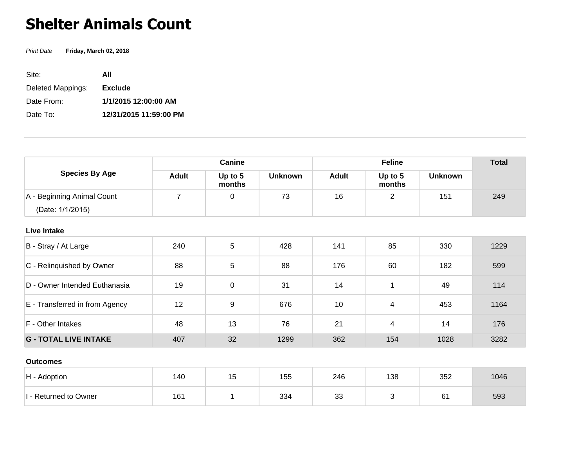## **Shelter Animals Count**

Print Date **Friday, March 02, 2018**

| Site:             | ΑII                    |
|-------------------|------------------------|
| Deleted Mappings: | <b>Exclude</b>         |
| Date From:        | 1/1/2015 12:00:00 AM   |
| Date To:          | 12/31/2015 11:59:00 PM |

| <b>Species By Age</b>                          | Canine         |                   |                | <b>Feline</b> |                   |                | <b>Total</b> |
|------------------------------------------------|----------------|-------------------|----------------|---------------|-------------------|----------------|--------------|
|                                                | <b>Adult</b>   | Up to 5<br>months | <b>Unknown</b> | <b>Adult</b>  | Up to 5<br>months | <b>Unknown</b> |              |
| A - Beginning Animal Count<br>(Date: 1/1/2015) | $\overline{7}$ | 0                 | 73             | 16            | $\overline{2}$    | 151            | 249          |
| <b>Live Intake</b>                             |                |                   |                |               |                   |                |              |
| B - Stray / At Large                           | 240            | 5                 | 428            | 141           | 85                | 330            | 1229         |
| C - Relinquished by Owner                      | 88             | 5                 | 88             | 176           | 60                | 182            | 599          |
| D - Owner Intended Euthanasia                  | 19             | 0                 | 31             | 14            | 1                 | 49             | 114          |
| E - Transferred in from Agency                 | 12             | 9                 | 676            | 10            | 4                 | 453            | 1164         |
| F - Other Intakes                              | 48             | 13                | 76             | 21            | 4                 | 14             | 176          |
| <b>G - TOTAL LIVE INTAKE</b>                   | 407            | 32                | 1299           | 362           | 154               | 1028           | 3282         |
| <b>Outcomes</b>                                |                |                   |                |               |                   |                |              |
| H - Adoption                                   | 140            | 15                | 155            | 246           | 138               | 352            | 1046         |

 $1 -$  Returned to Owner | 161 | 161 | 334 | 33 | 3 | 61 | 593